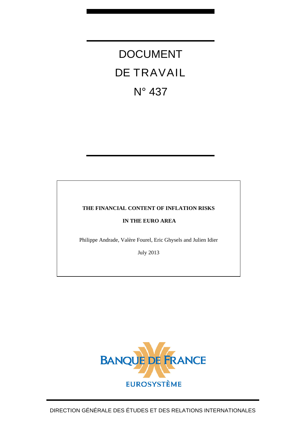# DOCUMENT DE TRAVAIL N° 437

## **THE FINANCIAL CONTENT OF INFLATION RISKS**

## **IN THE EURO AREA**

Philippe Andrade, Valère Fourel, Eric Ghysels and Julien Idier

July 2013

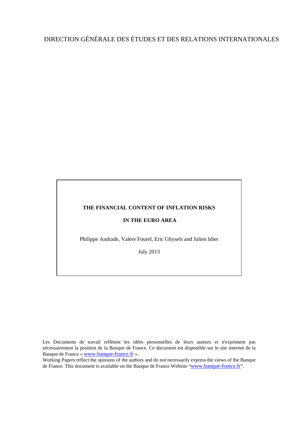# DIRECTION GÉNÉRALE DES ÉTUDES ET DES RELATIONS INTERNATIONALES

#### **THE FINANCIAL CONTENT OF INFLATION RISKS**

#### **IN THE EURO AREA**

Philippe Andrade, Valère Fourel, Eric Ghysels and Julien Idier

July 2013

Les Documents de travail reflètent les idées personnelles de leurs auteurs et n'expriment pas nécessairement la position de la Banque de France. Ce document est disponible sur le site internet de la Banque de France « [www.banque-france.fr](http://www.banque-france.fr/) ».

Working Papers reflect the opinions of the authors and do not necessarily express the views of the Banque de France. This document is available on the Banque de France Website "[www.banque-france.fr](http://www.banque-france.fr/)".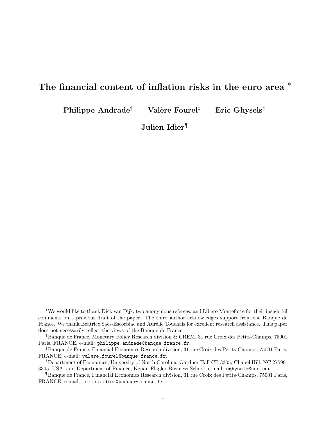# The financial content of inflation risks in the euro area <sup>\*</sup>

Philippe Andrade<sup>†</sup> Valère Fourel<sup>‡</sup> Eric Ghysels<sup>§</sup>

Julien Idier¶

<sup>∗</sup>We would like to thank Dick van Dijk, two anonymous referees, and Libero Monteforte for their insightful comments on a previous draft of the paper. The third author acknowledges support from the Banque de France. We thank Béatrice Saes-Escorbiac and Aurélie Touchais for excellent research assistance. This paper does not necessarily reflect the views of the Banque de France.

<sup>†</sup>Banque de France, Monetary Policy Research division & CREM, 31 rue Croix des Petits-Champs, 75001 Paris, FRANCE, e-mail: philippe.andrade@banque-france.fr.

<sup>‡</sup>Banque de France, Financial Economics Research division, 31 rue Croix des Petits-Champs, 75001 Paris, FRANCE, e-mail: valere.fourel@banque-france.fr.

<sup>§</sup>Department of Economics, University of North Carolina, Gardner Hall CB 3305, Chapel Hill, NC 27599- 3305, USA, and Department of Finance, Kenan-Flagler Business School, e-mail: eghysels@unc.edu.

<sup>¶</sup>Banque de France, Financial Economics Research division, 31 rue Croix des Petits-Champs, 75001 Paris, FRANCE, e-mail: julien.idier@banque-france.fr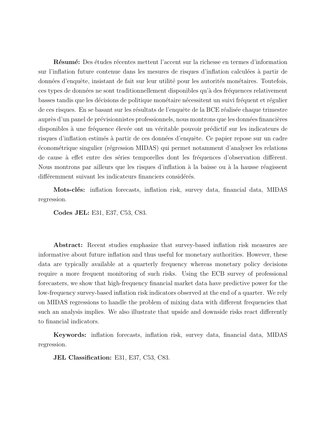Résumé: Des études récentes mettent l'accent sur la richesse en termes d'information sur l'inflation future contenue dans les mesures de risques d'inflation calculées à partir de données d'enquête, insistant de fait sur leur utilité pour les autorités monétaires. Toutefois, ces types de données ne sont traditionnellement disponibles qu'à des fréquences relativement basses tandis que les décisions de politique monétaire nécessitent un suivi fréquent et régulier de ces risques. En se basant sur les résultats de l'enquête de la BCE réalisée chaque trimestre auprès d'un panel de prévisionnistes professionnels, nous montrons que les données financières disponibles à une fréquence élevée ont un véritable pouvoir prédictif sur les indicateurs de risques d'inflation estimés à partir de ces données d'enquête. Ce papier repose sur un cadre ´econom´etrique singulier (r´egression MIDAS) qui permet notamment d'analyser les relations de cause à effet entre des séries temporelles dont les fréquences d'observation diffèrent. Nous montrons par ailleurs que les risques d'inflation à la baisse ou à la hausse réagissent différemment suivant les indicateurs financiers considérés.

Mots-clés: inflation forecasts, inflation risk, survey data, financial data, MIDAS regression.

Codes JEL: E31, E37, C53, C83.

Abstract: Recent studies emphasize that survey-based inflation risk measures are informative about future inflation and thus useful for monetary authorities. However, these data are typically available at a quarterly frequency whereas monetary policy decisions require a more frequent monitoring of such risks. Using the ECB survey of professional forecasters, we show that high-frequency financial market data have predictive power for the low-frequency survey-based inflation risk indicators observed at the end of a quarter. We rely on MIDAS regressions to handle the problem of mixing data with different frequencies that such an analysis implies. We also illustrate that upside and downside risks react differently to financial indicators.

Keywords: inflation forecasts, inflation risk, survey data, financial data, MIDAS regression.

JEL Classification: E31, E37, C53, C83.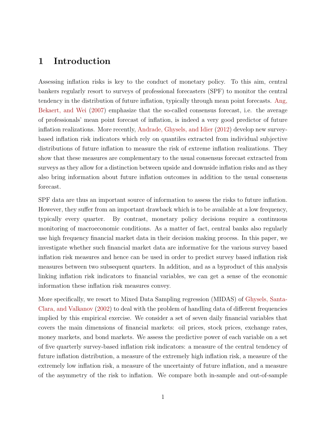## 1 Introduction

Assessing inflation risks is key to the conduct of monetary policy. To this aim, central bankers regularly resort to surveys of professional forecasters (SPF) to monitor the central tendency in the distribution of future inflation, typically through mean point forecasts. [Ang,](#page-21-0) [Bekaert, and Wei](#page-21-0) [\(2007\)](#page-21-0) emphasize that the so-called consensus forecast, i.e. the average of professionals' mean point forecast of inflation, is indeed a very good predictor of future inflation realizations. More recently, [Andrade, Ghysels, and Idier](#page-21-1) [\(2012\)](#page-21-1) develop new surveybased inflation risk indicators which rely on quantiles extracted from individual subjective distributions of future inflation to measure the risk of extreme inflation realizations. They show that these measures are complementary to the usual consensus forecast extracted from surveys as they allow for a distinction between upside and downside inflation risks and as they also bring information about future inflation outcomes in addition to the usual consensus forecast.

SPF data are thus an important source of information to assess the risks to future inflation. However, they suffer from an important drawback which is to be available at a low frequency, typically every quarter. By contrast, monetary policy decisions require a continuous monitoring of macroeconomic conditions. As a matter of fact, central banks also regularly use high frequency financial market data in their decision making process. In this paper, we investigate whether such financial market data are informative for the various survey based inflation risk measures and hence can be used in order to predict survey based inflation risk measures between two subsequent quarters. In addition, and as a byproduct of this analysis linking inflation risk indicators to financial variables, we can get a sense of the economic information these inflation risk measures convey.

More specifically, we resort to Mixed Data Sampling regression (MIDAS) of [Ghysels, Santa-](#page-22-0)[Clara, and Valkanov](#page-22-0) [\(2002\)](#page-22-0) to deal with the problem of handling data of different frequencies implied by this empirical exercise. We consider a set of seven daily financial variables that covers the main dimensions of financial markets: oil prices, stock prices, exchange rates, money markets, and bond markets. We assess the predictive power of each variable on a set of five quarterly survey-based inflation risk indicators: a measure of the central tendency of future inflation distribution, a measure of the extremely high inflation risk, a measure of the extremely low inflation risk, a measure of the uncertainty of future inflation, and a measure of the asymmetry of the risk to inflation. We compare both in-sample and out-of-sample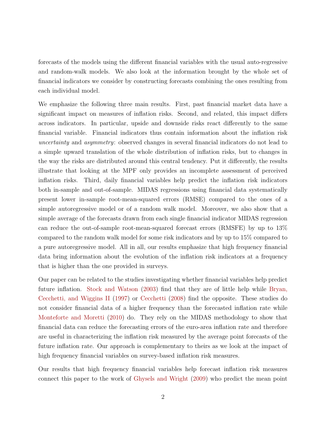forecasts of the models using the different financial variables with the usual auto-regressive and random-walk models. We also look at the information brought by the whole set of financial indicators we consider by constructing forecasts combining the ones resulting from each individual model.

We emphasize the following three main results. First, past financial market data have a significant impact on measures of inflation risks. Second, and related, this impact differs across indicators. In particular, upside and downside risks react differently to the same financial variable. Financial indicators thus contain information about the inflation risk uncertainty and asymmetry: observed changes in several financial indicators do not lead to a simple upward translation of the whole distribution of inflation risks, but to changes in the way the risks are distributed around this central tendency. Put it differently, the results illustrate that looking at the MPF only provides an incomplete assessment of perceived inflation risks. Third, daily financial variables help predict the inflation risk indicators both in-sample and out-of-sample. MIDAS regressions using financial data systematically present lower in-sample root-mean-squared errors (RMSE) compared to the ones of a simple autoregressive model or of a random walk model. Moreover, we also show that a simple average of the forecasts drawn from each single financial indicator MIDAS regression can reduce the out-of-sample root-mean-squared forecast errors (RMSFE) by up to 13% compared to the random walk model for some risk indicators and by up to 15% compared to a pure autoregressive model. All in all, our results emphasize that high frequency financial data bring information about the evolution of the inflation risk indicators at a frequency that is higher than the one provided in surveys.

Our paper can be related to the studies investigating whether financial variables help predict future inflation. [Stock and Watson](#page-22-1) [\(2003\)](#page-22-1) find that they are of little help while [Bryan,](#page-21-2) [Cecchetti, and Wiggins II](#page-21-2) [\(1997\)](#page-21-2) or [Cecchetti](#page-21-3) [\(2008\)](#page-21-3) find the opposite. These studies do not consider financial data of a higher frequency than the forecasted inflation rate while [Monteforte and Moretti](#page-22-2) [\(2010\)](#page-22-2) do. They rely on the MIDAS methodology to show that financial data can reduce the forecasting errors of the euro-area inflation rate and therefore are useful in characterizing the inflation risk measured by the average point forecasts of the future inflation rate. Our approach is complementary to theirs as we look at the impact of high frequency financial variables on survey-based inflation risk measures.

Our results that high frequency financial variables help forecast inflation risk measures connect this paper to the work of [Ghysels and Wright](#page-22-3) [\(2009\)](#page-22-3) who predict the mean point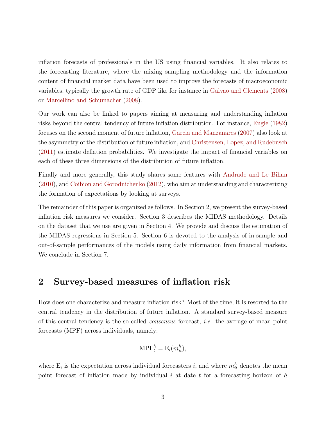inflation forecasts of professionals in the US using financial variables. It also relates to the forecasting literature, where the mixing sampling methodology and the information content of financial market data have been used to improve the forecasts of macroeconomic variables, typically the growth rate of GDP like for instance in [Galvao and Clements](#page-22-4) [\(2008\)](#page-22-4) or [Marcellino and Schumacher](#page-22-5) [\(2008\)](#page-22-5).

Our work can also be linked to papers aiming at measuring and understanding inflation risks beyond the central tendency of future inflation distribution. For instance, [Engle](#page-22-6) [\(1982\)](#page-22-6) focuses on the second moment of future inflation, [Garcia and Manzanares](#page-22-7) [\(2007\)](#page-22-7) also look at the asymmetry of the distribution of future inflation, and [Christensen, Lopez, and Rudebusch](#page-21-4) [\(2011\)](#page-21-4) estimate deflation probabilities. We investigate the impact of financial variables on each of these three dimensions of the distribution of future inflation.

Finally and more generally, this study shares some features with [Andrade and Le Bihan](#page-21-5) [\(2010\)](#page-21-5), and [Coibion and Gorodnichenko](#page-21-6) [\(2012\)](#page-21-6), who aim at understanding and characterizing the formation of expectations by looking at surveys.

The remainder of this paper is organized as follows. In Section 2, we present the survey-based inflation risk measures we consider. Section 3 describes the MIDAS methodology. Details on the dataset that we use are given in Section 4. We provide and discuss the estimation of the MIDAS regressions in Section 5. Section 6 is devoted to the analysis of in-sample and out-of-sample performances of the models using daily information from financial markets. We conclude in Section 7.

## <span id="page-6-0"></span>2 Survey-based measures of inflation risk

How does one characterize and measure inflation risk? Most of the time, it is resorted to the central tendency in the distribution of future inflation. A standard survey-based measure of this central tendency is the so called consensus forecast, i.e. the average of mean point forecasts (MPF) across individuals, namely:

$$
\text{MPF}_{t}^{h} = \mathcal{E}_{i}(m_{it}^{h}),
$$

where  $E_i$  is the expectation across individual forecasters i, and where  $m_{it}^h$  denotes the mean point forecast of inflation made by individual i at date t for a forecasting horizon of  $h$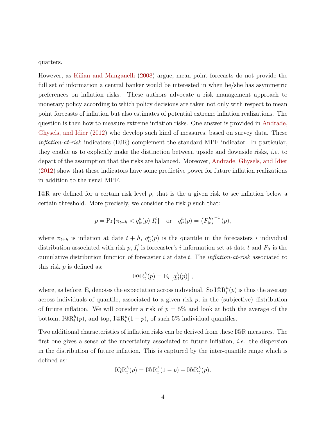quarters.

However, as [Kilian and Manganelli](#page-22-8) [\(2008\)](#page-22-8) argue, mean point forecasts do not provide the full set of information a central banker would be interested in when he/she has asymmetric preferences on inflation risks. These authors advocate a risk management approach to monetary policy according to which policy decisions are taken not only with respect to mean point forecasts of inflation but also estimates of potential extreme inflation realizations. The question is then how to measure extreme inflation risks. One answer is provided in [Andrade,](#page-21-1) [Ghysels, and Idier](#page-21-1) [\(2012\)](#page-21-1) who develop such kind of measures, based on survey data. These *inflation-at-risk* indicators (I $\Omega$ R) complement the standard MPF indicator. In particular, they enable us to explicitly make the distinction between upside and downside risks, *i.e.* to depart of the assumption that the risks are balanced. Moreover, [Andrade, Ghysels, and Idier](#page-21-1) [\(2012\)](#page-21-1) show that these indicators have some predictive power for future inflation realizations in addition to the usual MPF.

I@R are defined for a certain risk level  $p$ , that is the a given risk to see inflation below a certain threshold. More precisely, we consider the risk  $p$  such that:

$$
p = Pr{\pi_{t+h} < q_{it}^h(p)|I_t^i}
$$
 or  $q_{it}^h(p) = (F_{it}^h)^{-1}(p)$ ,

where  $\pi_{t+h}$  is inflation at date  $t+h$ ,  $q_{it}^h(p)$  is the quantile in the forecasters i individual distribution associated with risk p,  $I_t^i$  is forecaster's i information set at date t and  $F_{it}$  is the cumulative distribution function of forecaster i at date t. The  $\text{inflation-at-risk}$  associated to this risk  $p$  is defined as:

$$
\text{I@R}_t^h(p) = \mathrm{E}_i \left[ q_{it}^h(p) \right],
$$

where, as before,  $E_i$  denotes the expectation across individual. So  $I@R_t^h(p)$  is thus the average across individuals of quantile, associated to a given risk  $p$ , in the (subjective) distribution of future inflation. We will consider a risk of  $p = 5\%$  and look at both the average of the bottom, I $\mathbb{R}_t^h(p)$ , and top, I $\mathbb{R}_t^h(1-p)$ , of such 5% individual quantiles.

Two additional characteristics of inflation risks can be derived from these I@R measures. The first one gives a sense of the uncertainty associated to future inflation, *i.e.* the dispersion in the distribution of future inflation. This is captured by the inter-quantile range which is defined as:

$$
IQR_t^h(p) = I@R_t^h(1-p) - I@R_t^h(p).
$$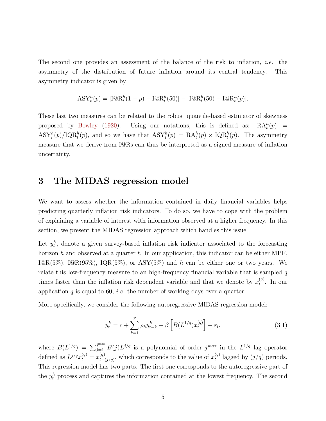The second one provides an assessment of the balance of the risk to inflation, *i.e.* the asymmetry of the distribution of future inflation around its central tendency. This asymmetry indicator is given by

$$
\mathrm{ASY}_t^h(p) = [\mathrm{I@R}_t^h(1-p) - \mathrm{I@R}_t^h(50)] - [\mathrm{I@R}_t^h(50) - \mathrm{I@R}_t^h(p)].
$$

These last two measures can be related to the robust quantile-based estimator of skewness proposed by [Bowley](#page-21-7) [\(1920\)](#page-21-7). Using our notations, this is defined as:  $\mathbb{R}A_t^h(p)$  =  $\text{ASY}_{t}^{h}(p)/\text{IQR}_{t}^{h}(p)$ , and so we have that  $\text{ASY}_{t}^{h}(p) = \text{RA}_{t}^{h}(p) \times \text{IQR}_{t}^{h}(p)$ . The asymmetry measure that we derive from I@Rs can thus be interpreted as a signed measure of inflation uncertainty.

## 3 The MIDAS regression model

We want to assess whether the information contained in daily financial variables helps predicting quarterly inflation risk indicators. To do so, we have to cope with the problem of explaining a variable of interest with information observed at a higher frequency. In this section, we present the MIDAS regression approach which handles this issue.

Let  $y_t^h$ , denote a given survey-based inflation risk indicator associated to the forecasting horizon h and observed at a quarter t. In our application, this indicator can be either MPF, I@R(5\%), I@R(95\%), IQR(5\%), or ASY(5\%) and h can be either one or two years. We relate this low-frequency measure to an high-frequency financial variable that is sampled q times faster than the inflation risk dependent variable and that we denote by  $x_t^{(q)}$  $t^{(q)}$ . In our application q is equal to 60, *i.e.* the number of working days over a quarter.

More specifically, we consider the following autoregressive MIDAS regression model:

<span id="page-8-0"></span>
$$
y_t^h = c + \sum_{k=1}^p \rho_k y_{t-k}^h + \beta \left[ B(L^{1/q}) x_t^{(q)} \right] + \varepsilon_t,
$$
\n(3.1)

where  $B(L^{1/q}) = \sum_{j=1}^{j^{\text{max}}} B(j) L^{j/q}$  is a polynomial of order  $j^{\text{max}}$  in the  $L^{1/q}$  lag operator defined as  $L^{j/q}x_t^{(q)} = x_{t-1}^{(q)}$  $\chi_{t-(j/q)}^{(q)}$ , which corresponds to the value of  $x_t^{(q)}$  $t_t^{(q)}$  lagged by  $(j/q)$  periods. This regression model has two parts. The first one corresponds to the autoregressive part of the  $y_t^h$  process and captures the information contained at the lowest frequency. The second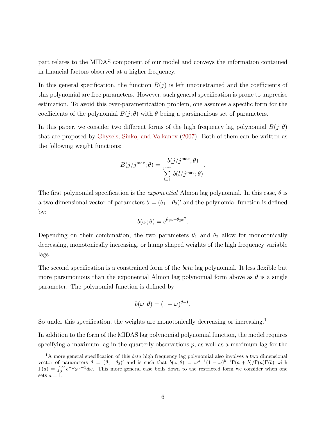part relates to the MIDAS component of our model and conveys the information contained in financial factors observed at a higher frequency.

In this general specification, the function  $B(j)$  is left unconstrained and the coefficients of this polynomial are free parameters. However, such general specification is prone to unprecise estimation. To avoid this over-parametrization problem, one assumes a specific form for the coefficients of the polynomial  $B(j; \theta)$  with  $\theta$  being a parsimonious set of parameters.

In this paper, we consider two different forms of the high frequency lag polynomial  $B(j;\theta)$ that are proposed by [Ghysels, Sinko, and Valkanov](#page-22-9) [\(2007\)](#page-22-9). Both of them can be written as the following weight functions:

$$
B(j/j^{\max}; \theta) = \frac{b(j/j^{\max}; \theta)}{\sum_{l=1}^{\max} b(l/j^{\max}; \theta)}.
$$

The first polynomial specification is the *exponential* Almon lag polynomial. In this case,  $\theta$  is a two dimensional vector of parameters  $\theta = (\theta_1 \quad \theta_2)'$  and the polynomial function is defined by:

$$
b(\omega;\theta) = e^{\theta_1 \omega + \theta_2 \omega^2}.
$$

Depending on their combination, the two parameters  $\theta_1$  and  $\theta_2$  allow for monotonically decreasing, monotonically increasing, or hump shaped weights of the high frequency variable lags.

The second specification is a constrained form of the *beta* lag polynomial. It less flexible but more parsimonious than the exponential Almon lag polynomial form above as  $\theta$  is a single parameter. The polynomial function is defined by:

$$
b(\omega;\theta) = (1 - \omega)^{\theta - 1}.
$$

So under this specification, the weights are monotonically decreasing or increasing.<sup>1</sup>

In addition to the form of the MIDAS lag polynomial polynomial function, the model requires specifying a maximum lag in the quarterly observations p, as well as a maximum lag for the

<sup>&</sup>lt;sup>1</sup>A more general specification of this *beta* high frequency lag polynomial also involves a two dimensional vector of parameters  $\theta = (\theta_1 \ \theta_2)'$  and is such that  $b(\omega;\theta) = \omega^{a-1}(1-\omega)^{b-1}\Gamma(a+b)/\Gamma(a)\Gamma(b)$  with  $\Gamma(a) = \int_0^{\infty} e^{-\omega} \omega^{a-1} d\omega$ . This more general case boils down to the restricted form we consider when one sets  $a = 1$ .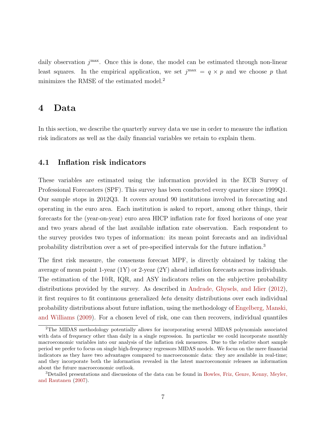daily observation  $j^{\text{max}}$ . Once this is done, the model can be estimated through non-linear least squares. In the empirical application, we set  $j^{\max} = q \times p$  and we choose p that minimizes the RMSE of the estimated model.<sup>2</sup>

## 4 Data

In this section, we describe the quarterly survey data we use in order to measure the inflation risk indicators as well as the daily financial variables we retain to explain them.

#### 4.1 Inflation risk indicators

These variables are estimated using the information provided in the ECB Survey of Professional Forecasters (SPF). This survey has been conducted every quarter since 1999Q1. Our sample stops in 2012Q3. It covers around 90 institutions involved in forecasting and operating in the euro area. Each institution is asked to report, among other things, their forecasts for the (year-on-year) euro area HICP inflation rate for fixed horizons of one year and two years ahead of the last available inflation rate observation. Each respondent to the survey provides two types of information: its mean point forecasts and an individual probability distribution over a set of pre-specified intervals for the future inflation.<sup>3</sup>

The first risk measure, the consensus forecast MPF, is directly obtained by taking the average of mean point 1-year  $(1Y)$  or 2-year  $(2Y)$  ahead inflation forecasts across individuals. The estimation of the I@R, IQR, and ASY indicators relies on the subjective probability distributions provided by the survey. As described in [Andrade, Ghysels, and Idier](#page-21-1) [\(2012\)](#page-21-1), it first requires to fit continuous generalized beta density distributions over each individual probability distributions about future inflation, using the methodology of [Engelberg, Manski,](#page-22-10) [and Williams](#page-22-10) [\(2009\)](#page-22-10). For a chosen level of risk, one can then recovers, individual quantiles

<sup>2</sup>The MIDAS methodology potentially allows for incorporating several MIDAS polynomials associated with data of frequency other than daily in a single regression. In particular we could incorporate monthly macroeconomic variables into our analysis of the inflation risk measures. Due to the relative short sample period we prefer to focus on single high-frequency regressors MIDAS models. We focus on the mere financial indicators as they have two advantages compared to macroeconomic data: they are available in real-time; and they incorporate both the information revealed in the latest macroeconomic releases as information about the future macroeconomic outlook.

<sup>3</sup>Detailed presentations and discussions of the data can be found in [Bowles, Friz, Genre, Kenny, Meyler,](#page-21-8) [and Rautanen](#page-21-8) [\(2007\)](#page-21-8).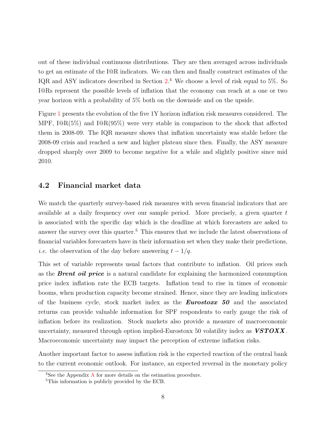out of these individual continuous distributions. They are then averaged across individuals to get an estimate of the I@R indicators. We can then and finally construct estimates of the IQR and ASY indicators described in Section [2.](#page-6-0) <sup>4</sup> We choose a level of risk equal to 5%. So I@Rs represent the possible levels of inflation that the economy can reach at a one or two year horizon with a probability of 5% both on the downside and on the upside.

Figure [1](#page-32-0) presents the evolution of the five 1Y horizon inflation risk measures considered. The MPF,  $IQR(5\%)$  and  $IQR(95\%)$  were very stable in comparison to the shock that affected them in 2008-09. The IQR measure shows that inflation uncertainty was stable before the 2008-09 crisis and reached a new and higher plateau since then. Finally, the ASY measure dropped sharply over 2009 to become negative for a while and slightly positive since mid 2010.

### 4.2 Financial market data

We match the quarterly survey-based risk measures with seven financial indicators that are available at a daily frequency over our sample period. More precisely, a given quarter  $t$ is associated with the specific day which is the deadline at which forecasters are asked to answer the survey over this quarter.<sup>5</sup> This ensures that we include the latest observations of financial variables forecasters have in their information set when they make their predictions, *i.e.* the observation of the day before answering  $t - 1/q$ .

This set of variable represents usual factors that contribute to inflation. Oil prices such as the **Brent oil price** is a natural candidate for explaining the harmonized consumption price index inflation rate the ECB targets. Inflation tend to rise in times of economic booms, when production capacity become strained. Hence, since they are leading indicators of the business cycle, stock market index as the **Eurostoxx 50** and the associated returns can provide valuable information for SPF respondents to early gauge the risk of inflation before its realization. Stock markets also provide a measure of macroeconomic uncertainty, measured through option implied-Eurostoxx 50 volatility index as  $VSTOXX$ . Macroeconomic uncertainty may impact the perception of extreme inflation risks.

Another important factor to assess inflation risk is the expected reaction of the central bank to the current economic outlook. For instance, an expected reversal in the monetary policy

<sup>4</sup>See the Appendix [A](#page-24-0) for more details on the estimation procedure.

<sup>5</sup>This information is publicly provided by the ECB.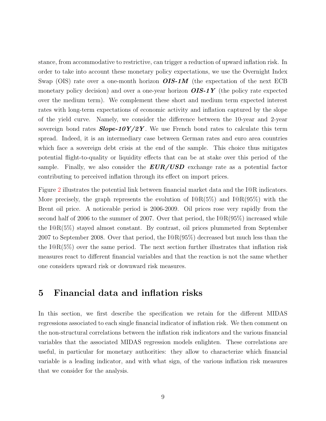stance, from accommodative to restrictive, can trigger a reduction of upward inflation risk. In order to take into account these monetary policy expectations, we use the Overnight Index Swap (OIS) rate over a one-month horizon  $OIS-1M$  (the expectation of the next ECB monetary policy decision) and over a one-year horizon  $OIS-1Y$  (the policy rate expected over the medium term). We complement these short and medium term expected interest rates with long-term expectations of economic activity and inflation captured by the slope of the yield curve. Namely, we consider the difference between the 10-year and 2-year sovereign bond rates  $Slope-10Y/2Y$ . We use French bond rates to calculate this term spread. Indeed, it is an intermediary case between German rates and euro area countries which face a sovereign debt crisis at the end of the sample. This choice thus mitigates potential flight-to-quality or liquidity effects that can be at stake over this period of the sample. Finally, we also consider the  $EUR/USD$  exchange rate as a potential factor contributing to perceived inflation through its effect on import prices.

Figure [2](#page-33-0) illustrates the potential link between financial market data and the I@R indicators. More precisely, the graph represents the evolution of  $IQR(5\%)$  and  $IQR(95\%)$  with the Brent oil price. A noticeable period is 2006-2009. Oil prices rose very rapidly from the second half of 2006 to the summer of 2007. Over that period, the  $IQR(95%)$  increased while the I@R(5%) stayed almost constant. By contrast, oil prices plummeted from September 2007 to September 2008. Over that period, the I@R(95%) decreased but much less than the the  $IQR(5\%)$  over the same period. The next section further illustrates that inflation risk measures react to different financial variables and that the reaction is not the same whether one considers upward risk or downward risk measures.

## 5 Financial data and inflation risks

In this section, we first describe the specification we retain for the different MIDAS regressions associated to each single financial indicator of inflation risk. We then comment on the non-structural correlations between the inflation risk indicators and the various financial variables that the associated MIDAS regression models enlighten. These correlations are useful, in particular for monetary authorities: they allow to characterize which financial variable is a leading indicator, and with what sign, of the various inflation risk measures that we consider for the analysis.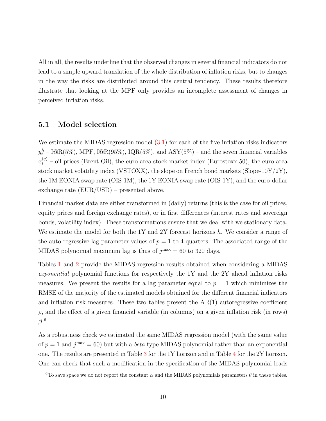All in all, the results underline that the observed changes in several financial indicators do not lead to a simple upward translation of the whole distribution of inflation risks, but to changes in the way the risks are distributed around this central tendency. These results therefore illustrate that looking at the MPF only provides an incomplete assessment of changes in perceived inflation risks.

#### 5.1 Model selection

We estimate the MIDAS regression model  $(3.1)$  for each of the five inflation risks indicators  $y_t^h$  – I@R(5%), MPF, I@R(95%), IQR(5%), and ASY(5%) – and the seven financial variables  $x_t^{(q)}$  – oil prices (Brent Oil), the euro area stock market index (Eurostoxx 50), the euro area stock market volatility index (VSTOXX), the slope on French bond markets (Slope- $10Y/2Y$ ), the 1M EONIA swap rate (OIS-1M), the 1Y EONIA swap rate (OIS-1Y), and the euro-dollar exchange rate (EUR/USD) – presented above.

Financial market data are either transformed in (daily) returns (this is the case for oil prices, equity prices and foreign exchange rates), or in first differences (interest rates and sovereign bonds, volatility index). These transformations ensure that we deal with we stationary data. We estimate the model for both the 1Y and 2Y forecast horizons  $h$ . We consider a range of the auto-regressive lag parameter values of  $p = 1$  to 4 quarters. The associated range of the MIDAS polynomial maximum lag is thus of  $j^{\text{max}} = 60$  to 320 days.

Tables [1](#page-26-0) and [2](#page-27-0) provide the MIDAS regression results obtained when considering a MIDAS exponential polynomial functions for respectively the 1Y and the 2Y ahead inflation risks measures. We present the results for a lag parameter equal to  $p = 1$  which minimizes the RMSE of the majority of the estimated models obtained for the different financial indicators and inflation risk measures. These two tables present the  $AR(1)$  autoregressive coefficient  $\rho$ , and the effect of a given financial variable (in columns) on a given inflation risk (in rows)  $\beta.^6$ 

As a robustness check we estimated the same MIDAS regression model (with the same value of  $p = 1$  and  $j^{\text{max}} = 60$ ) but with a *beta* type MIDAS polynomial rather than an exponential one. The results are presented in Table [3](#page-28-0) for the 1Y horizon and in Table [4](#page-29-0) for the 2Y horizon. One can check that such a modification in the specification of the MIDAS polynomial leads

<sup>&</sup>lt;sup>6</sup>To save space we do not report the constant  $\alpha$  and the MIDAS polynomials parameters  $\theta$  in these tables.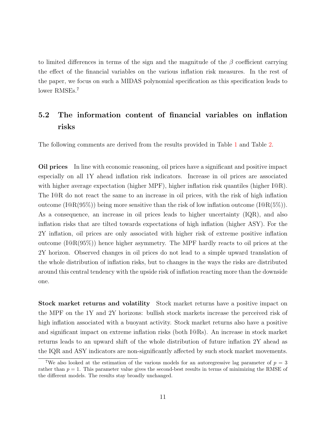to limited differences in terms of the sign and the magnitude of the  $\beta$  coefficient carrying the effect of the financial variables on the various inflation risk measures. In the rest of the paper, we focus on such a MIDAS polynomial specification as this specification leads to lower RMSEs.<sup>7</sup>

# 5.2 The information content of financial variables on inflation risks

The following comments are derived from the results provided in Table [1](#page-26-0) and Table [2.](#page-27-0)

Oil prices In line with economic reasoning, oil prices have a significant and positive impact especially on all 1Y ahead inflation risk indicators. Increase in oil prices are associated with higher average expectation (higher MPF), higher inflation risk quantiles (higher I@R). The I@R do not react the same to an increase in oil prices, with the risk of high inflation outcome (I $\mathbb{Q}R(95\%)$ ) being more sensitive than the risk of low inflation outcome (I $\mathbb{Q}R(5\%)$ ). As a consequence, an increase in oil prices leads to higher uncertainty (IQR), and also inflation risks that are tilted towards expectations of high inflation (higher ASY). For the 2Y inflation, oil prices are only associated with higher risk of extreme positive inflation outcome (I@R(95%)) hence higher asymmetry. The MPF hardly reacts to oil prices at the 2Y horizon. Observed changes in oil prices do not lead to a simple upward translation of the whole distribution of inflation risks, but to changes in the ways the risks are distributed around this central tendency with the upside risk of inflation reacting more than the downside one.

Stock market returns and volatility Stock market returns have a positive impact on the MPF on the 1Y and 2Y horizons: bullish stock markets increase the perceived risk of high inflation associated with a buoyant activity. Stock market returns also have a positive and significant impact on extreme inflation risks (both I@Rs). An increase in stock market returns leads to an upward shift of the whole distribution of future inflation 2Y ahead as the IQR and ASY indicators are non-significantly affected by such stock market movements.

<sup>&</sup>lt;sup>7</sup>We also looked at the estimation of the various models for an autoregressive lag parameter of  $p = 3$ rather than  $p = 1$ . This parameter value gives the second-best results in terms of minimizing the RMSE of the different models. The results stay broadly unchanged.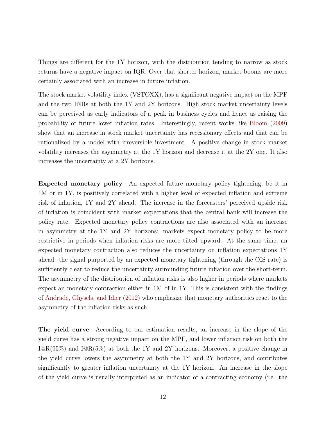Things are different for the 1Y horizon, with the distribution tending to narrow as stock returns have a negative impact on IQR. Over that shorter horizon, market booms are more certainly associated with an increase in future inflation.

The stock market volatility index (VSTOXX), has a significant negative impact on the MPF and the two I@Rs at both the 1Y and 2Y horizons. High stock market uncertainty levels can be perceived as early indicators of a peak in business cycles and hence as raising the probability of future lower inflation rates. Interestingly, recent works like [Bloom](#page-21-9) [\(2009\)](#page-21-9) show that an increase in stock market uncertainty has recessionary effects and that can be rationalized by a model with irreversible investment. A positive change in stock market volatility increases the asymmetry at the 1Y horizon and decrease it at the 2Y one. It also increases the uncertainty at a 2Y horizons.

Expected monetary policy An expected future monetary policy tightening, be it in 1M or in 1Y, is positively correlated with a higher level of expected inflation and extreme risk of inflation, 1Y and 2Y ahead. The increase in the forecasters' perceived upside risk of inflation is coincident with market expectations that the central bank will increase the policy rate. Expected monetary policy contractions are also associated with an increase in asymmetry at the 1Y and 2Y horizons: markets expect monetary policy to be more restrictive in periods when inflation risks are more tilted upward. At the same time, an expected monetary contraction also reduces the uncertainty on inflation expectations 1Y ahead: the signal purported by an expected monetary tightening (through the OIS rate) is sufficiently clear to reduce the uncertainty surrounding future inflation over the short-term. The asymmetry of the distribution of inflation risks is also higher in periods where markets expect an monetary contraction either in 1M of in 1Y. This is consistent with the findings of [Andrade, Ghysels, and Idier](#page-21-1) [\(2012\)](#page-21-1) who emphasize that monetary authorities react to the asymmetry of the inflation risks as such.

The yield curve According to our estimation results, an increase in the slope of the yield curve has a strong negative impact on the MPF, and lower inflation risk on both the  $IQR(95%)$  and  $IQR(5%)$  at both the 1Y and 2Y horizons. Moreover, a positive change in the yield curve lowers the asymmetry at both the 1Y and 2Y horizons, and contributes significantly to greater inflation uncertainty at the 1Y horizon. An increase in the slope of the yield curve is usually interpreted as an indicator of a contracting economy (i.e. the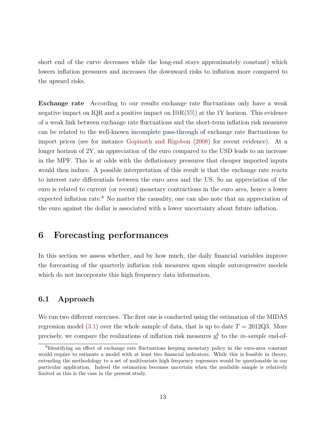short end of the curve decreases while the long-end stays approximately constant) which lowers inflation pressures and increases the downward risks to inflation more compared to the upward risks.

Exchange rate According to our results exchange rate fluctuations only have a weak negative impact on IQR and a positive impact on  $IQR(5\%)$  at the 1Y horizon. This evidence of a weak link between exchange rate fluctuations and the short-term inflation risk measures can be related to the well-known incomplete pass-through of exchange rate fluctuations to import prices (see for instance [Gopinath and Rigobon](#page-22-11) [\(2008\)](#page-22-11) for recent evidence). At a longer horizon of 2Y, an appreciation of the euro compared to the USD leads to an increase in the MPF. This is at odds with the deflationary pressures that cheaper imported inputs would then induce. A possible interpretation of this result is that the exchange rate reacts to interest rate differentials between the euro area and the US. So an appreciation of the euro is related to current (or recent) monetary contractions in the euro area, hence a lower expected inflation rate.<sup>8</sup> No matter the causality, one can also note that an appreciation of the euro against the dollar is associated with a lower uncertainty about future inflation.

## 6 Forecasting performances

In this section we assess whether, and by how much, the daily financial variables improve the forecasting of the quarterly inflation risk measures upon simple autoregressive models which do not incorporate this high frequency data information.

## 6.1 Approach

We run two different exercises. The first one is conducted using the estimation of the MIDAS regression model  $(3.1)$  over the whole sample of data, that is up to date  $T = 2012Q3$ . More precisely, we compare the realizations of inflation risk measures  $y_t^h$  to the *in-sample* end-of-

<sup>8</sup> Identifying an effect of exchange rate fluctuations keeping monetary policy in the euro-area constant would require to estimate a model with at least two financial indicators. While this is feasible in theory, extending the methodology to a set of multivariate high frequency regressors would be questionable in our particular application. Indeed the estimation becomes uncertain when the available sample is relatively limited as this is the case in the present study.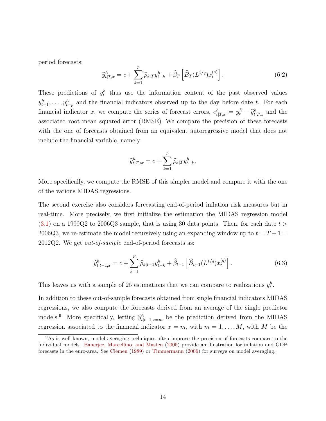period forecasts:

<span id="page-17-0"></span>
$$
\widehat{y}_{t|T,x}^h = c + \sum_{k=1}^p \widehat{\rho}_{k|T} y_{t-k}^h + \widehat{\beta}_T \left[ \widehat{B}_T (L^{1/q}) x_t^{(q)} \right]. \tag{6.2}
$$

These predictions of  $y_t^h$  thus use the information content of the past observed values  $y_{t-1}^h, \ldots, y_{t-p}^h$  and the financial indicators observed up to the day before date t. For each financial indicator x, we compute the series of forecast errors,  $e_{t|T,x}^h = y_t^h - \hat{y}_{t|T,x}^h$  and the associated root mean squared error (RMSE). We compare the precision of these forecasts with the one of forecasts obtained from an equivalent autoregressive model that does not include the financial variable, namely

$$
\widehat{y}_{t|T,\text{ar}}^h = c + \sum_{k=1}^p \widehat{\rho}_{k|T} y_{t-k}^h.
$$

More specifically, we compute the RMSE of this simpler model and compare it with the one of the various MIDAS regressions.

The second exercise also considers forecasting end-of-period inflation risk measures but in real-time. More precisely, we first initialize the estimation the MIDAS regression model  $(3.1)$  on a 1999Q2 to 2006Q3 sample, that is using 30 data points. Then, for each date  $t >$ 2006Q3, we re-estimate the model recursively using an expanding window up to  $t = T - 1 =$ 2012Q2. We get out-of-sample end-of-period forecasts as:

<span id="page-17-1"></span>
$$
\widehat{y}_{t|t-1,x}^h = c + \sum_{k=1}^p \widehat{\rho}_{k|t-1} y_{t-k}^h + \widehat{\beta}_{t-1} \left[ \widehat{B}_{t-1}(L^{1/q}) x_t^{(q)} \right]. \tag{6.3}
$$

This leaves us with a sample of 25 estimations that we can compare to realizations  $y_t^h$ .

In addition to these out-of-sample forecasts obtained from single financial indicators MIDAS regressions, we also compute the forecasts derived from an average of the single predictor models.<sup>9</sup> More specifically, letting  $\hat{y}_{t|t-1,x=m}^h$  be the prediction derived from the MIDAS regression associated to the financial indicator  $x = m$ , with  $m = 1, \ldots, M$ , with M be the

 $9<sup>9</sup>$ As is well known, model averaging techniques often improve the precision of forecasts compare to the individual models. [Banerjee, Marcellino, and Masten](#page-21-10) [\(2005\)](#page-21-10) provide an illustration for inflation and GDP forecasts in the euro-area. See [Clemen](#page-21-11) [\(1989\)](#page-21-11) or [Timmermann](#page-23-0) [\(2006\)](#page-23-0) for surveys on model averaging.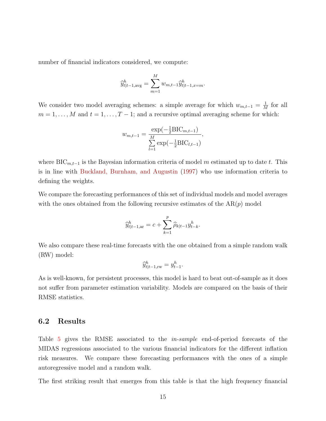number of financial indicators considered, we compute:

$$
\widehat{y}_{t|t-1,\text{avg}}^h = \sum_{m=1}^M w_{m,t-1} \widehat{y}_{t|t-1,x=m}^h.
$$

We consider two model averaging schemes: a simple average for which  $w_{m,t-1} = \frac{1}{M}$  $\frac{1}{M}$  for all  $m = 1, \ldots, M$  and  $t = 1, \ldots, T - 1$ ; and a recursive optimal averaging scheme for which:

$$
w_{m,t-1} = \frac{\exp(-\frac{1}{2} \text{BIC}_{m,t-1})}{\sum_{l=1}^{M} \exp(-\frac{1}{2} \text{BIC}_{l,t-1})},
$$

where BIC<sub>m,t−1</sub> is the Bayesian information criteria of model m estimated up to date t. This is in line with [Buckland, Burnham, and Augustin](#page-21-12) [\(1997\)](#page-21-12) who use information criteria to defining the weights.

We compare the forecasting performances of this set of individual models and model averages with the ones obtained from the following recursive estimates of the  $AR(p)$  model

$$
\widehat{y}_{t|t-1, \text{ar}}^h = c + \sum_{k=1}^p \widehat{\rho}_{k|t-1} y_{t-k}^h.
$$

We also compare these real-time forecasts with the one obtained from a simple random walk (RW) model:

$$
\widehat{y}^h_{t|t-1,\textnormal{rw}} = y^h_{t-1}.
$$

As is well-known, for persistent processes, this model is hard to beat out-of-sample as it does not suffer from parameter estimation variability. Models are compared on the basis of their RMSE statistics.

#### 6.2 Results

Table [5](#page-30-0) gives the RMSE associated to the in-sample end-of-period forecasts of the MIDAS regressions associated to the various financial indicators for the different inflation risk measures. We compare these forecasting performances with the ones of a simple autoregressive model and a random walk.

The first striking result that emerges from this table is that the high frequency financial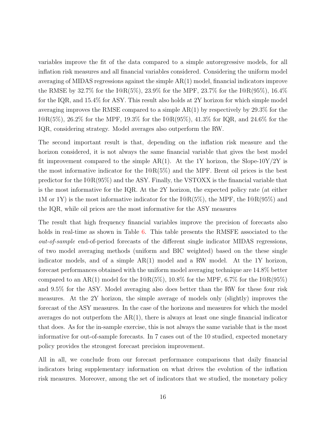variables improve the fit of the data compared to a simple autoregressive models, for all inflation risk measures and all financial variables considered. Considering the uniform model averaging of MIDAS regressions against the simple  $AR(1)$  model, financial indicators improve the RMSE by 32.7% for the I@R(5%), 23.9% for the MPF, 23.7% for the I@R(95%), 16.4% for the IQR, and 15.4% for ASY. This result also holds at 2Y horizon for which simple model averaging improves the RMSE compared to a simple AR(1) by respectively by 29.3% for the I@R(5%), 26.2% for the MPF, 19.3% for the I@R(95%), 41.3% for IQR, and 24.6% for the IQR, considering strategy. Model averages also outperform the RW.

The second important result is that, depending on the inflation risk measure and the horizon considered, it is not always the same financial variable that gives the best model fit improvement compared to the simple  $AR(1)$ . At the 1Y horizon, the Slope-10Y/2Y is the most informative indicator for the  $IQR(5\%)$  and the MPF. Brent oil prices is the best predictor for the I@R(95%) and the ASY. Finally, the VSTOXX is the financial variable that is the most informative for the IQR. At the 2Y horizon, the expected policy rate (at either 1M or 1Y) is the most informative indicator for the  $IQR(5\%)$ , the MPF, the  $IQR(95\%)$  and the IQR, while oil prices are the most informative for the ASY measures

The result that high frequency financial variables improve the precision of forecasts also holds in real-time as shown in Table [6.](#page-31-0) This table presents the RMSFE associated to the out-of-sample end-of-period forecasts of the different single indicator MIDAS regressions, of two model averaging methods (uniform and BIC weighted) based on the these single indicator models, and of a simple  $AR(1)$  model and a RW model. At the 1Y horizon, forecast performances obtained with the uniform model averaging technique are 14.8% better compared to an AR(1) model for the  $IQR(5\%)$ , 10.8% for the MPF, 6.7% for the  $IQR(95\%)$ and 9.5% for the ASY. Model averaging also does better than the RW for these four risk measures. At the 2Y horizon, the simple average of models only (slightly) improves the forecast of the ASY measures. In the case of the horizons and measures for which the model averages do not outperfom the  $AR(1)$ , there is always at least one single financial indicator that does. As for the in-sample exercise, this is not always the same variable that is the most informative for out-of-sample forecasts. In 7 cases out of the 10 studied, expected monetary policy provides the strongest forecast precision improvement.

All in all, we conclude from our forecast performance comparisons that daily financial indicators bring supplementary information on what drives the evolution of the inflation risk measures. Moreover, among the set of indicators that we studied, the monetary policy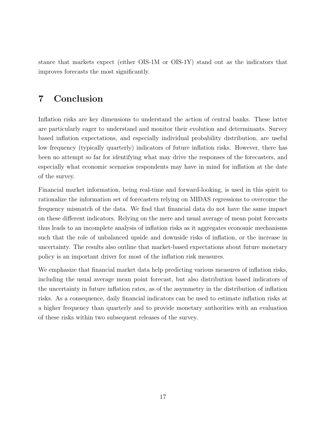stance that markets expect (either OIS-1M or OIS-1Y) stand out as the indicators that improves forecasts the most significantly.

# 7 Conclusion

Inflation risks are key dimensions to understand the action of central banks. These latter are particularly eager to understand and monitor their evolution and determinants. Survey based inflation expectations, and especially individual probability distribution, are useful low frequency (typically quarterly) indicators of future inflation risks. However, there has been no attempt so far for identifying what may drive the responses of the forecasters, and especially what economic scenarios respondents may have in mind for inflation at the date of the survey.

Financial market information, being real-time and forward-looking, is used in this spirit to rationalize the information set of forecasters relying on MIDAS regressions to overcome the frequency mismatch of the data. We find that financial data do not have the same impact on these different indicators. Relying on the mere and usual average of mean point forecasts thus leads to an incomplete analysis of inflation risks as it aggregates economic mechanisms such that the role of unbalanced upside and downside risks of inflation, or the increase in uncertainty. The results also outline that market-based expectations about future monetary policy is an important driver for most of the inflation risk measures.

We emphasize that financial market data help predicting various measures of inflation risks, including the usual average mean point forecast, but also distribution based indicators of the uncertainty in future inflation rates, as of the asymmetry in the distribution of inflation risks. As a consequence, daily financial indicators can be used to estimate inflation risks at a higher frequency than quarterly and to provide monetary authorities with an evaluation of these risks within two subsequent releases of the survey.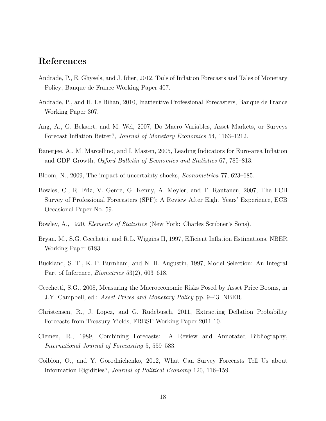## References

- <span id="page-21-1"></span>Andrade, P., E. Ghysels, and J. Idier, 2012, Tails of Inflation Forecasts and Tales of Monetary Policy, Banque de France Working Paper 407.
- <span id="page-21-5"></span>Andrade, P., and H. Le Bihan, 2010, Inattentive Professional Forecasters, Banque de France Working Paper 307.
- <span id="page-21-0"></span>Ang, A., G. Bekaert, and M. Wei, 2007, Do Macro Variables, Asset Markets, or Surveys Forecast Inflation Better?, Journal of Monetary Economics 54, 1163–1212.
- <span id="page-21-10"></span>Banerjee, A., M. Marcellino, and I. Masten, 2005, Leading Indicators for Euro-area Inflation and GDP Growth, Oxford Bulletin of Economics and Statistics 67, 785–813.
- <span id="page-21-9"></span>Bloom, N., 2009, The impact of uncertainty shocks, Econometrica 77, 623–685.
- <span id="page-21-8"></span>Bowles, C., R. Friz, V. Genre, G. Kenny, A. Meyler, and T. Rautanen, 2007, The ECB Survey of Professional Forecasters (SPF): A Review After Eight Years' Experience, ECB Occasional Paper No. 59.
- <span id="page-21-7"></span>Bowley, A., 1920, Elements of Statistics (New York: Charles Scribner's Sons).
- <span id="page-21-2"></span>Bryan, M., S.G. Cecchetti, and R.L. Wiggins II, 1997, Efficient Inflation Estimations, NBER Working Paper 6183.
- <span id="page-21-12"></span>Buckland, S. T., K. P. Burnham, and N. H. Augustin, 1997, Model Selection: An Integral Part of Inference, Biometrics 53(2), 603–618.
- <span id="page-21-3"></span>Cecchetti, S.G., 2008, Measuring the Macroeconomic Risks Posed by Asset Price Booms, in J.Y. Campbell, ed.: Asset Prices and Monetary Policy pp. 9–43. NBER.
- <span id="page-21-4"></span>Christensen, R., J. Lopez, and G. Rudebusch, 2011, Extracting Deflation Probability Forecasts from Treasury Yields, FRBSF Working Paper 2011-10.
- <span id="page-21-11"></span>Clemen, R., 1989, Combining Forecasts: A Review and Annotated Bibliography, International Journal of Forecasting 5, 559–583.
- <span id="page-21-6"></span>Coibion, O., and Y. Gorodnichenko, 2012, What Can Survey Forecasts Tell Us about Information Rigidities?, Journal of Political Economy 120, 116–159.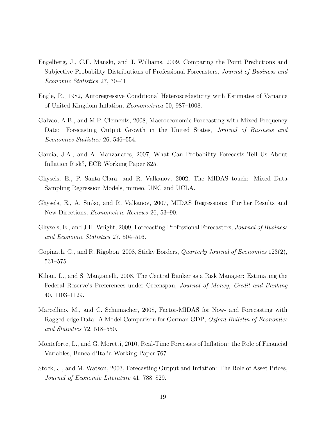- <span id="page-22-10"></span>Engelberg, J., C.F. Manski, and J. Williams, 2009, Comparing the Point Predictions and Subjective Probability Distributions of Professional Forecasters, Journal of Business and Economic Statistics 27, 30–41.
- <span id="page-22-6"></span>Engle, R., 1982, Autoregressive Conditional Heteroscedasticity with Estimates of Variance of United Kingdom Inflation, Econometrica 50, 987–1008.
- <span id="page-22-4"></span>Galvao, A.B., and M.P. Clements, 2008, Macroeconomic Forecasting with Mixed Frequency Data: Forecasting Output Growth in the United States, *Journal of Business and* Economics Statistics 26, 546–554.
- <span id="page-22-7"></span>Garcia, J.A., and A. Manzanares, 2007, What Can Probability Forecasts Tell Us About Inflation Risk?, ECB Working Paper 825.
- <span id="page-22-0"></span>Ghysels, E., P. Santa-Clara, and R. Valkanov, 2002, The MIDAS touch: Mixed Data Sampling Regression Models, mimeo, UNC and UCLA.
- <span id="page-22-9"></span>Ghysels, E., A. Sinko, and R. Valkanov, 2007, MIDAS Regressions: Further Results and New Directions, Econometric Reviews 26, 53–90.
- <span id="page-22-3"></span>Ghysels, E., and J.H. Wright, 2009, Forecasting Professional Forecasters, Journal of Business and Economic Statistics 27, 504–516.
- <span id="page-22-11"></span>Gopinath, G., and R. Rigobon, 2008, Sticky Borders, Quarterly Journal of Economics 123(2), 531–575.
- <span id="page-22-8"></span>Kilian, L., and S. Manganelli, 2008, The Central Banker as a Risk Manager: Estimating the Federal Reserve's Preferences under Greenspan, Journal of Money, Credit and Banking 40, 1103–1129.
- <span id="page-22-5"></span>Marcellino, M., and C. Schumacher, 2008, Factor-MIDAS for Now- and Forecasting with Ragged-edge Data: A Model Comparison for German GDP, Oxford Bulletin of Economics and Statistics 72, 518–550.
- <span id="page-22-2"></span>Monteforte, L., and G. Moretti, 2010, Real-Time Forecasts of Inflation: the Role of Financial Variables, Banca d'Italia Working Paper 767.
- <span id="page-22-1"></span>Stock, J., and M. Watson, 2003, Forecasting Output and Inflation: The Role of Asset Prices, Journal of Economic Literature 41, 788–829.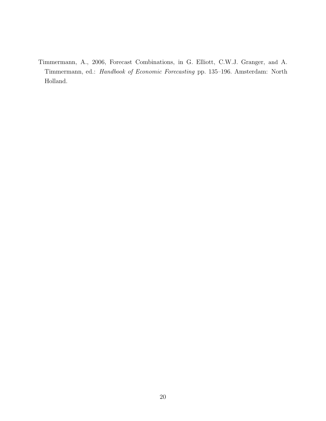<span id="page-23-0"></span>Timmermann, A., 2006, Forecast Combinations, in G. Elliott, C.W.J. Granger, and A. Timmermann, ed.: Handbook of Economic Forecasting pp. 135–196. Amsterdam: North Holland.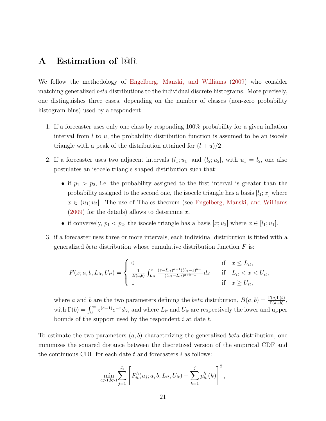## <span id="page-24-0"></span>A Estimation of I@R

We follow the methodology of [Engelberg, Manski, and Williams](#page-22-10) [\(2009\)](#page-22-10) who consider matching generalized beta distributions to the individual discrete histograms. More precisely, one distinguishes three cases, depending on the number of classes (non-zero probability histogram bins) used by a respondent.

- 1. If a forecaster uses only one class by responding 100% probability for a given inflation interval from  $l$  to  $u$ , the probability distribution function is assumed to be an isocele triangle with a peak of the distribution attained for  $(l + u)/2$ .
- 2. If a forecaster uses two adjacent intervals  $(l_1; u_1]$  and  $(l_2; u_2]$ , with  $u_1 = l_2$ , one also postulates an isocele triangle shaped distribution such that:
	- if  $p_1 > p_2$ , i.e. the probability assigned to the first interval is greater than the probability assigned to the second one, the isocele triangle has a basis  $[l_1; x]$  where  $x \in (u_1; u_2]$ . The use of Thales theorem (see [Engelberg, Manski, and Williams](#page-22-10)  $(2009)$  for the details) allows to determine x.
	- if conversely,  $p_1 < p_2$ , the isocele triangle has a basis  $[x; u_2]$  where  $x \in [l_1; u_1]$ .
- 3. if a forecaster uses three or more intervals, each individual distribution is fitted with a generalized *beta* distribution whose cumulative distribution function  $F$  is:

$$
F(x; a, b, L_{it}, U_{it}) = \begin{cases} 0 & \text{if } x \le L_{it}, \\ \frac{1}{B(a,b)} \int_{L_{it}}^{x} \frac{(z - L_{it})^{a-1} (U_{it} - z)^{b-1}}{(U_{it} - L_{it})^{a+b-1}} dz & \text{if } L_{it} < x < U_{it}, \\ 1 & \text{if } x \ge U_{it}, \end{cases}
$$

where a and b are the two parameters defining the beta distribution,  $B(a, b) = \frac{\Gamma(a)\Gamma(b)}{\Gamma(a+b)}$ , with  $\Gamma(b) = \int_0^\infty z^{(a-1)}e^{-z}dz$ , and where  $L_{it}$  and  $U_{it}$  are respectively the lower and upper bounds of the support used by the respondent  $i$  at date  $t$ .

To estimate the two parameters  $(a, b)$  characterizing the generalized beta distribution, one minimizes the squared distance between the discretized version of the empirical CDF and the continuous CDF for each date  $t$  and forecasters  $i$  as follows:

$$
\min_{a>1,b>1} \sum_{j=1}^{J_t} \left[ F_{it}^h(u_j; a, b, L_{it}, U_{it}) - \sum_{k=1}^j p_{it}^h(k) \right]^2,
$$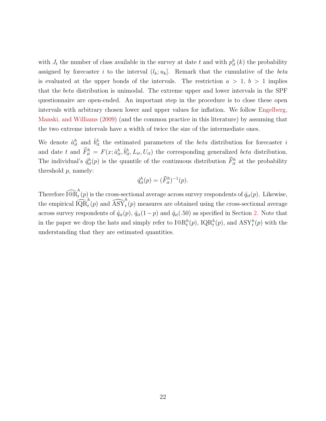with  $J_t$  the number of class available in the survey at date t and with  $p_{it}^h(k)$  the probability assigned by forecaster i to the interval  $(l_k; u_k]$ . Remark that the cumulative of the beta is evaluated at the upper bonds of the intervals. The restriction  $a > 1, b > 1$  implies that the beta distribution is unimodal. The extreme upper and lower intervals in the SPF questionnaire are open-ended. An important step in the procedure is to close these open intervals with arbitrary chosen lower and upper values for inflation. We follow [Engelberg,](#page-22-10) [Manski, and Williams](#page-22-10) [\(2009\)](#page-22-10) (and the common practice in this literature) by assuming that the two extreme intervals have a width of twice the size of the intermediate ones.

We denote  $\hat{a}_{it}^h$  and  $\hat{b}_{it}^h$  the estimated parameters of the *beta* distribution for forecaster i and date t and  $\hat{F}_{it}^h = F(x; \hat{a}_{it}^h, \hat{b}_{it}^h, L_{it}, U_{it})$  the corresponding generalized beta distribution. The individual's  $\hat{q}_{it}^h(p)$  is the quantile of the continuous distribution  $\hat{F}_{it}^h$  at the probability threshold  $p$ , namely:

$$
\hat{q}_{it}^h(p) = (\widehat{F}_{it}^h)^{-1}(p).
$$

Therefore  $\widehat{\text{IQR}}_t^h(p)$  is the cross-sectional average across survey respondents of  $\hat{q}_{it}(p)$ . Likewise, the empirical  $\widehat{\text{IQR}}_t^h(p)$  and  $\widehat{\text{ASY}}_t^h(p)$  measures are obtained using the cross-sectional average across survey respondents of  $\hat{q}_{it}(p)$ ,  $\hat{q}_{it}(1-p)$  and  $\hat{q}_{it}(.50)$  as specified in Section [2.](#page-6-0) Note that in the paper we drop the hats and simply refer to  $\text{I@R}_t^h(p)$ ,  $\text{IQR}_t^h(p)$ , and  $\text{ASY}_t^h(p)$  with the understanding that they are estimated quantities.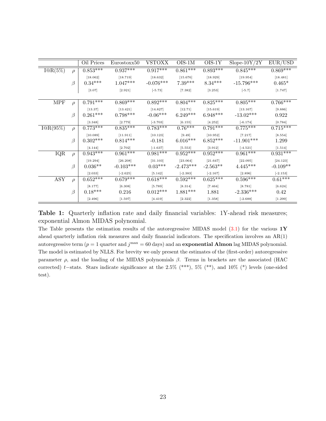<span id="page-26-0"></span>

|            |               | Oil Prices | Eurostoxx50 | VSTOXX      | OIS-1M      | $OIS-1Y$   | $Slope-10Y/2Y$ | EUR/USD    |
|------------|---------------|------------|-------------|-------------|-------------|------------|----------------|------------|
| I@R(5%)    | $\rho$        | $0.853***$ | $0.937***$  | $0.917***$  | $0.861***$  | $0.893***$ | $0.845***$     | $0.869***$ |
|            |               | [18.062]   | [18.719]    | [18.632]    | [15.676]    | [18.929]   | [19.954]       | [18.481]   |
|            | β             | $0.34***$  | $1.047***$  | $-0.076***$ | $7.39***$   | $8.34***$  | $-15.796***$   | $0.465*$   |
|            |               | [3.07]     | [2.921]     | $[-5.73]$   | $[7.382]$   | [3.253]    | $[-5.7]$       | [1.747]    |
| <b>MPF</b> | $\rho$        | $0.791***$ | $0.869***$  | $0.892***$  | $0.804***$  | $0.825***$ | $0.805***$     | $0.766***$ |
|            |               |            |             |             |             |            |                |            |
|            |               | [13.37]    | [13.421]    | [14.827]    | [12.71]     | [15.619]   | [13.167]       | [9.886]    |
|            | $\beta$       | $0.261***$ | $0.798***$  | $-0.06***$  | $6.249***$  | $6.948***$ | $-13.02***$    | 0.922      |
|            |               | [3.348]    | [2.779]     | $[-3.703]$  | [6.155]     | [4.252]    | $[-6.174]$     | [0.784]    |
| I@R(95%)   | $\rho$        | $0.773***$ | $0.835***$  | $0.783***$  | $0.76***$   | $0.791***$ | $0.775***$     | $0.715***$ |
|            |               | [10.089]   | [11.911]    | [10.123]    | [9.49]      | [10.952]   | [7.217]        | [8.554]    |
|            | β             | $0.302***$ | $0.814***$  | $-0.181$    | $6.016***$  | $6.852***$ | $-11.901***$   | 1.299      |
|            |               | [4.144]    | [2.702]     | $[-1.637]$  | [5.553]     | [3.912]    | $[-4.521]$     | [1.514]    |
| IQR        | $\rho$        | $0.943***$ | $0.961***$  | $0.981***$  | $0.952***$  | $0.952***$ | $0.961***$     | $0.931***$ |
|            |               | [19.294]   | [26.208]    | [31.103]    | [23.064]    | [21.647]   | [22.095]       | [24.123]   |
|            | $\beta$       | $0.036**$  | $-0.103***$ | $0.03***$   | $-2.473***$ | $-2.563**$ | $4.445***$     | $-0.109**$ |
|            |               | [2.033]    | $[-2.625]$  | [5.142]     | $[-2.383]$  | $[-2.167]$ | [2.896]        | $[-2.153]$ |
| <b>ASY</b> | $\mathcal{D}$ | $0.652***$ | $0.679***$  | $0.618***$  | $0.592***$  | $0.625***$ | $0.596***$     | $0.61***$  |
|            |               | [8.177]    | [6.308]     | [5.789]     | [8.314]     | [7.464]    | [8.781]        | [6.624]    |
|            | $\beta$       | $0.18***$  | 0.216       | $0.012***$  | $1.881***$  | 1.881      | $-2.336***$    | 0.42       |
|            |               | [2.496]    | [1.597]     | [4.419]     | $[2.322]$   | [1.358]    | $[-2.688]$     | [1.299]    |

Table 1: Quarterly inflation rate and daily financial variables: 1Y-ahead risk measures; exponential Almon MIDAS polynomial.

The Table presents the estimation results of the autoregressive MIDAS model  $(3.1)$  for the various  $1Y$ ahead quarterly inflation risk measures and daily financial indicators. The specification involves an AR(1) autoregressive term ( $p = 1$  quarter and  $j<sup>max</sup> = 60$  days) and an **exponential Almon** lag MIDAS polynomial. The model is estimated by NLLS. For brevity we only present the estimates of the (first-order) autoregressive parameter  $\rho$ , and the loading of the MIDAS polynomials  $\beta$ . Terms in brackets are the associated (HAC corrected) t−stats. Stars indicate significance at the 2.5% (\*\*\*), 5% (\*\*), and 10% (\*) levels (one-sided test).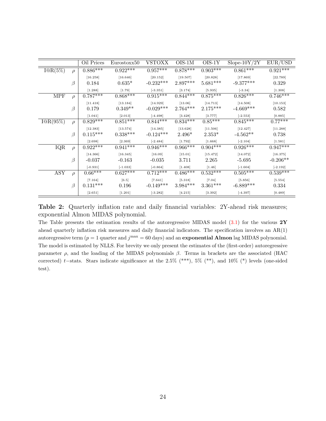<span id="page-27-0"></span>

|            |        | Oil Prices | Eurostoxx50 | <b>VSTOXX</b> | $OIS-1M$   | $OIS-1Y$   | $Slope-10Y/2Y$ | EUR/USD    |
|------------|--------|------------|-------------|---------------|------------|------------|----------------|------------|
| I@R(5%)    | $\rho$ | $0.886***$ | $0.922***$  | $0.957***$    | $0.878***$ | $0.903***$ | $0.861***$     | $0.921***$ |
|            |        | [16.258]   | [16.646]    | [20.152]      | [19.507]   | [20.828]   | [17.869]       | [22.789]   |
|            | β      | 0.184      | $0.635*$    | $-0.232***$   | $2.897***$ | $5.681***$ | $-9.377***$    | 0.329      |
|            |        | [1.288]    | $[1.79]$    | $[-3.351]$    | [3.174]    | [5.935]    | $[-3.34]$      | [1.308]    |
| <b>MPF</b> | $\rho$ | $0.787***$ | $0.868***$  | $0.915***$    | $0.844***$ | $0.875***$ | $0.826***$     | $0.746***$ |
|            |        | [11.418]   | [13.184]    | [14.929]      | [13.06]    | [14.713]   | [14.508]       | [10.153]   |
|            | ß      | 0.179      | $0.349**$   | $-0.029***$   | $2.764***$ | $2.175***$ | $-4.669***$    | 0.582      |
|            |        | [1.041]    | [2.013]     | $[-4.498]$    | [3.428]    | [3.777]    | $[-2.553]$     | [0.885]    |
| I@R(95%)   | $\rho$ | $0.829***$ | $0.851***$  | $0.844***$    | $0.834***$ | $0.85***$  | $0.845***$     | $0.77***$  |
|            |        | [12.383]   | [13.574]    | [14.385]      | [13.628]   | [11.506]   | [12.427]       | [11.288]   |
|            | β      | $0.115***$ | $0.338***$  | $-0.124***$   | $2.496*$   | $2.353*$   | $-4.562**$     | 0.738      |
|            |        | [2.698]    | [2.369]     | $[-2.484]$    | [1.792]    | [1.668]    | $[-2.104]$     | [1.581]    |
| IQR        | $\rho$ | $0.922***$ | $0.941***$  | $0.946***$    | $0.966***$ | $0.904***$ | $0.926***$     | $0.947***$ |
|            |        | [14.366]   | [16.345]    | [16.09]       | [15.01]    | [15.472]   | [14.072]       | [16.375]   |
|            | β      | $-0.037$   | $-0.163$    | $-0.035$      | 3.711      | 2.265      | -5.695         | $-0.206**$ |
|            |        | $[-0.931]$ | $[-1.033]$  | $[-0.864]$    | [1.408]    | $[1.46]$   | $[-1.604]$     | $[-2.192]$ |
| ASY        | $\rho$ | $0.66***$  | $0.627***$  | $0.712***$    | $0.486***$ | $0.532***$ | $0.505***$     | $0.539***$ |
|            |        | [7.164]    | [6.5]       | [7.641]       | [5.318]    | $[7.04]$   | [5.856]        | [5.554]    |
|            | β      | $0.131***$ | 0.196       | $-0.149***$   | $3.984***$ | $3.361***$ | $-6.889***$    | 0.334      |
|            |        | [2.651]    | [1.201]     | $[-3.282]$    | [4.215]    | [3.392]    | $[-4.397]$     | [0.489]    |

Table 2: Quarterly inflation rate and daily financial variables: 2Y-ahead risk measures; exponential Almon MIDAS polynomial.

The Table presents the estimation results of the autoregressive MIDAS model  $(3.1)$  for the various  $2Y$ ahead quarterly inflation risk measures and daily financial indicators. The specification involves an AR(1) autoregressive term ( $p = 1$  quarter and  $j<sup>max</sup> = 60$  days) and an **exponential Almon** lag MIDAS polynomial. The model is estimated by NLLS. For brevity we only present the estimates of the (first-order) autoregressive parameter  $\rho$ , and the loading of the MIDAS polynomials  $\beta$ . Terms in brackets are the associated (HAC corrected) t−stats. Stars indicate significance at the 2.5% (\*\*\*), 5% (\*\*), and 10% (\*) levels (one-sided test).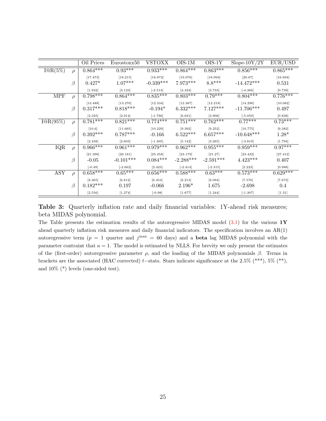<span id="page-28-0"></span>

|                       |               | Oil Prices | Eurostoxx50 | <b>VSTOXX</b> | $OIS-1M$    | $OIS-1Y$    | $Slope-10Y/2Y$ | EUR/USD    |
|-----------------------|---------------|------------|-------------|---------------|-------------|-------------|----------------|------------|
| $I@R(\overline{5\%})$ | $\rho$        | $0.864***$ | $0.93***$   | $0.933***$    | $0.864***$  | $0.863***$  | $0.856***$     | $0.865***$ |
|                       |               | [17.473]   | [18.215]    | [18.872]      | [19.076]    | [18.994]    | [20.67]        | [16.694]   |
|                       | $\beta$       | $0.427*$   | $1.07***$   | $-0.339***$   | $7.973***$  | $8.8***$    | $-14.472***$   | 0.531      |
|                       |               | [1.932]    | [3.123]     | $[-2.513]$    | [4.324]     | [3.733]     | $[-4.366]$     | [0.739]    |
| <b>MPF</b>            | $\rho$        | $0.798***$ | $0.864***$  | $0.835***$    | $0.803***$  | $0.79***$   | $0.804***$     | $0.776***$ |
|                       |               | [13.488]   | [13.276]    | [12.334]      | [12.387]    | [12.218]    | [14.296]       | [10.082]   |
|                       | β             | $0.317***$ | $0.818***$  | $-0.194*$     | $6.332***$  | $7.127***$  | $-11.706***$   | 0.497      |
|                       |               | [2.325]    | [2.914]     | $[-1.786]$    | [6.631]     | [3.908]     | $[-5.059]$     | [0.838]    |
| I@R(95%)              | $\rho$        | $0.781***$ | $0.821***$  | $0.774***$    | $0.751***$  | $0.762***$  | $0.77***$      | $0.73***$  |
|                       |               | [10.6]     | [11.665]    | [10.229]      | [9.392]     | [9.252]     | [10.775]       | [9.382]    |
|                       | β             | $0.392***$ | $0.787***$  | $-0.166$      | $6.522***$  | $6.657***$  | $-10.648***$   | $1.28*$    |
|                       |               | [2.438]    | [2.603]     | $[-1.305]$    | [5.142]     | [3.265]     | $[-3.819]$     | [1.794]    |
| IQR                   | $\rho$        | $0.966***$ | $0.961***$  | $0.979***$    | $0.962***$  | $0.955***$  | $0.959***$     | $0.97***$  |
|                       |               | [21.398]   | [26.181]    | [25.458]      | [23.179]    | [21.27]     | [23.422]       | [27.412]   |
|                       | ß             | $-0.05$    | $-0.101***$ | $0.084***$    | $-2.288***$ | $-2.591***$ | $4.423***$     | 0.407      |
|                       |               | $[-0.49]$  | $[-2.662]$  | [2.423]       | $[-2.414]$  | $[-2.315]$  | [2.223]        | [0.988]    |
| <b>ASY</b>            | $\mathcal{D}$ | $0.658***$ | $0.65***$   | $0.656***$    | $0.588***$  | $0.63***$   | $0.573***$     | $0.629***$ |
|                       |               | [8.365]    | [6.812]     | [6.454]       | [8.213]     | [8.094]     | [7.576]        | [7.672]    |
|                       | β             | $0.182***$ | 0.197       | $-0.066$      | $2.196*$    | 1.675       | $-2.698$       | 0.4        |
|                       |               | [2.556]    | [1.274]     | $[-0.98]$     | [1.677]     | [1.244]     | $[-1.307]$     | $[1.31]$   |

Table 3: Quarterly inflation rate and daily financial variables: 1Y-ahead risk measures; beta MIDAS polynomial.

The Table presents the estimation results of the autoregressive MIDAS model  $(3.1)$  for the various  $1Y$ ahead quarterly inflation risk measures and daily financial indicators. The specification involves an AR(1) autoregressive term ( $p = 1$  quarter and  $j^{max} = 60$  days) and a **beta** lag MIDAS polynomial with the parameter contraint that  $a = 1$ . The model is estimated by NLLS. For brevity we only present the estimates of the (first-order) autoregressive parameter  $\rho$ , and the loading of the MIDAS polynomials  $\beta$ . Terms in brackets are the associated (HAC corrected) t−stats. Stars indicate significance at the 2.5% (\*\*\*), 5% (\*\*), and 10% (\*) levels (one-sided test).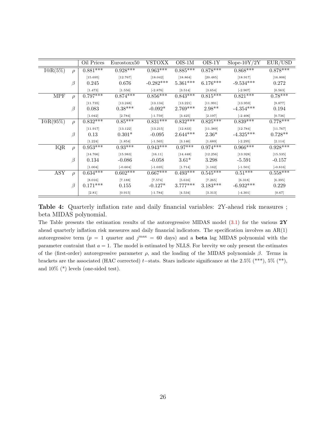<span id="page-29-0"></span>

|             |         | Oil Prices | Eurostoxx50 | <b>VSTOXX</b> | $OIS-1M$   | $OIS-1Y$   | $Slope-10Y/2Y$ | EUR/USD    |
|-------------|---------|------------|-------------|---------------|------------|------------|----------------|------------|
| I@R(5%)     | $\rho$  | $0.881***$ | $0.928***$  | $0.963***$    | $0.885***$ | $0.878***$ | $0.868***$     | $0.878***$ |
|             |         | [15.695]   | [12.767]    | [18.042]      | [18.864]   | [20.485]   | [18.917]       | [16.806]   |
|             | β       | 0.245      | 0.676       | $-0.282***$   | $5.361***$ | $6.176***$ | $-9.534***$    | 0.272      |
|             |         | [1.473]    | [1.556]     | $[-2.876]$    | [3.514]    | [3.654]    | $[-2.907]$     | [0.563]    |
| <b>MPF</b>  | $\rho$  | $0.797***$ | $0.874***$  | $0.856***$    | $0.843***$ | $0.815***$ | $0.821***$     | $0.78***$  |
|             |         | [11.735]   | [13.248]    | [13.134]      | [13.221]   | [11.991]   | [13.959]       | [9.877]    |
|             | β       | 0.083      | $0.38***$   | $-0.092*$     | $2.769***$ | $2.98**$   | $-4.354***$    | 0.194      |
|             |         | [1.042]    | [2.784]     | $[-1.759]$    | [3.425]    | [2.197]    | $[-2.406]$     | [0.736]    |
| $I@R(95\%)$ | $\rho$  | $0.832***$ | $0.85***$   | $0.831***$    | $0.832***$ | $0.825***$ | $0.839***$     | $0.778***$ |
|             |         | [11.917]   | [13.122]    | [13.215]      | [12.833]   | [11.389]   | [12.784]       | [11.767]   |
|             | β       | 0.13       | $0.301*$    | $-0.095$      | $2.644***$ | $2.36*$    | $-4.325***$    | $0.728**$  |
|             |         | [1.224]    | [1.854]     | $[-1.565]$    | [3.146]    | [1.689]    | $[-2.295]$     | [2.114]    |
| IQR         | $\rho$  | $0.953***$ | $0.93***$   | $0.943***$    | $0.97***$  | $0.974***$ | $0.966***$     | $0.928***$ |
|             |         | [14.766]   | [15.983]    | [16.11]       | [14.448]   | [12.256]   | [13.928]       | [15.535]   |
|             | $\beta$ | 0.134      | $-0.086$    | $-0.058$      | $3.61*$    | 3.298      | $-5.591$       | $-0.157$   |
|             |         | [1.004]    | $[-0.604]$  | $[-1.035]$    | [1.714]    | [1.162]    | $[-1.501]$     | $[-0.816]$ |
| <b>ASY</b>  | $\rho$  | $0.634***$ | $0.602***$  | $0.667***$    | $0.493***$ | $0.545***$ | $0.51***$      | $0.558***$ |
|             |         | [8.016]    | [7.188]     | [7.574]       | [5.616]    | [7.265]    | [6.318]        | [6.395]    |
|             | β       | $0.171***$ | 0.155       | $-0.127*$     | $3.777***$ | $3.183***$ | $-6.932***$    | 0.229      |
|             |         | [2.81]     | [0.915]     | $[-1.784]$    | [4.534]    | [3.313]    | $[-4.301]$     | [0.67]     |

Table 4: Quarterly inflation rate and daily financial variables: 2Y-ahead risk measures ; beta MIDAS polynomial.

The Table presents the estimation results of the autoregressive MIDAS model  $(3.1)$  for the various  $2Y$ ahead quarterly inflation risk measures and daily financial indicators. The specification involves an AR(1) autoregressive term ( $p = 1$  quarter and  $j^{max} = 60$  days) and a **beta** lag MIDAS polynomial with the parameter contraint that  $a = 1$ . The model is estimated by NLLS. For brevity we only present the estimates of the (first-order) autoregressive parameter  $\rho$ , and the loading of the MIDAS polynomials  $\beta$ . Terms in brackets are the associated (HAC corrected) t−stats. Stars indicate significance at the 2.5% (\*\*\*), 5% (\*\*), and 10% (\*) levels (one-sided test).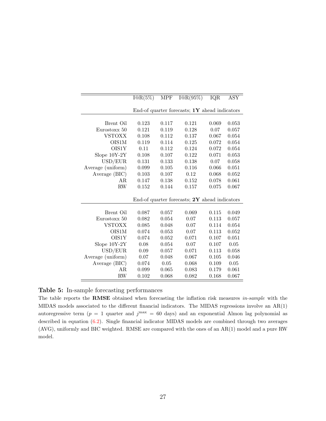<span id="page-30-0"></span>

|                   | I@R(5%) | <b>MPF</b> | I@R(95%)                                        | IQR   | ASY   |
|-------------------|---------|------------|-------------------------------------------------|-------|-------|
|                   |         |            | End-of quarter forecasts; $1Y$ ahead indicators |       |       |
|                   |         |            |                                                 |       |       |
| Brent Oil         | 0.123   | 0.117      | 0.121                                           | 0.069 | 0.053 |
| Eurostoxx 50      | 0.121   | 0.119      | 0.128                                           | 0.07  | 0.057 |
| VSTOXX            | 0.108   | 0.112      | 0.137                                           | 0.067 | 0.054 |
| OIS1M             | 0.119   | 0.114      | 0.125                                           | 0.072 | 0.054 |
| OIS1Y             | 0.11    | 0.112      | 0.124                                           | 0.072 | 0.054 |
| Slope 10Y-2Y      | 0.108   | 0.107      | 0.122                                           | 0.071 | 0.053 |
| USD/EUR           | 0.131   | 0.133      | 0.138                                           | 0.07  | 0.058 |
| Average (uniform) | 0.099   | 0.105      | 0.116                                           | 0.066 | 0.051 |
| Average (BIC)     | 0.103   | 0.107      | 0.12                                            | 0.068 | 0.052 |
| AR.               | 0.147   | 0.138      | 0.152                                           | 0.078 | 0.061 |
| $\rm RW$          | 0.152   | 0.144      | 0.157                                           | 0.075 | 0.067 |
|                   |         |            |                                                 |       |       |
|                   |         |            | End-of quarter forecasts; $2Y$ ahead indicators |       |       |
|                   |         |            |                                                 |       |       |
| Brent Oil         | 0.087   | 0.057      | 0.069                                           | 0.115 | 0.049 |
| Eurostoxx 50      | 0.082   | 0.054      | 0.07                                            | 0.113 | 0.057 |
| <b>VSTOXX</b>     | 0.085   | 0.048      | 0.07                                            | 0.114 | 0.054 |
| OIS1M             | 0.074   | 0.053      | 0.07                                            | 0.113 | 0.052 |
| OIS1Y             | 0.074   | 0.052      | 0.071                                           | 0.107 | 0.051 |
| Slope 10Y-2Y      | 0.08    | 0.054      | 0.07                                            | 0.107 | 0.05  |
| USD/EUR           | 0.09    | 0.057      | 0.071                                           | 0.113 | 0.058 |
| Average (uniform) | 0.07    | 0.048      | 0.067                                           | 0.105 | 0.046 |
| Average (BIC)     | 0.074   | 0.05       | 0.068                                           | 0.109 | 0.05  |
| AR                | 0.099   | 0.065      | 0.083                                           | 0.179 | 0.061 |
| RW                | 0.102   | 0.068      | 0.082                                           | 0.168 | 0.067 |

#### Table 5: In-sample forecasting performances

The table reports the RMSE obtained when forecasting the inflation risk measures *in-sample* with the MIDAS models associated to the different financial indicators. The MIDAS regressions involve an AR(1) autoregressive term ( $p = 1$  quarter and  $j^{max} = 60$  days) and an exponential Almon lag polynomial as described in equation [\(6.2\)](#page-17-0). Single financial indicator MIDAS models are combined through two averages (AVG), uniformly and BIC weighted. RMSE are compared with the ones of an AR(1) model and a pure RW model.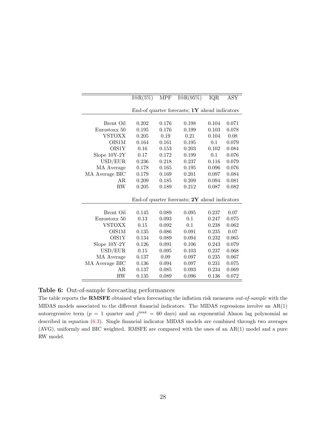<span id="page-31-0"></span>

|                | I@R(5%) | MPF   | I@R(95%)                                        | IQR   | <b>ASY</b> |
|----------------|---------|-------|-------------------------------------------------|-------|------------|
|                |         |       | End-of quarter forecasts; $1Y$ ahead indicators |       |            |
|                |         |       |                                                 |       |            |
| Brent Oil      | 0.202   | 0.176 | 0.198                                           | 0.104 | 0.071      |
| Eurostoxx 50   | 0.195   | 0.176 | 0.199                                           | 0.103 | 0.078      |
| VSTOXX         | 0.205   | 0.19  | 0.21                                            | 0.104 | 0.08       |
| OIS1M          | 0.164   | 0.161 | 0.195                                           | 0.1   | 0.079      |
| OIS1Y          | 0.16    | 0.153 | 0.203                                           | 0.102 | 0.084      |
| Slope 10Y-2Y   | 0.17    | 0.172 | 0.199                                           | 0.1   | 0.076      |
| USD/EUR        | 0.236   | 0.218 | 0.237                                           | 0.116 | 0.079      |
| MA Average     | 0.178   | 0.165 | 0.195                                           | 0.096 | 0.076      |
| MA Average BIC | 0.179   | 0.169 | 0.201                                           | 0.097 | 0.084      |
| AR             | 0.209   | 0.185 | 0.209                                           | 0.094 | 0.081      |
| RW             | 0.205   | 0.189 | 0.212                                           | 0.087 | 0.082      |
|                |         |       | End-of quarter forecasts; $2Y$ ahead indicators |       |            |
|                |         |       |                                                 |       |            |
| Brent Oil      | 0.145   | 0.089 | 0.095                                           | 0.237 | 0.07       |
| Eurostoxx 50   | 0.13    | 0.093 | 0.1                                             | 0.247 | 0.075      |
| <b>VSTOXX</b>  | 0.15    | 0.092 | 0.1                                             | 0.238 | 0.062      |
| OIS1M          | 0.135   | 0.086 | 0.091                                           | 0.235 | 0.07       |
| <b>OIS1Y</b>   | 0.134   | 0.089 | 0.094                                           | 0.232 | 0.065      |
| Slope 10Y-2Y   | 0.126   | 0.091 | 0.106                                           | 0.243 | 0.079      |
| USD/EUR        | 0.15    | 0.095 | 0.103                                           | 0.237 | 0.068      |
| MA Average     | 0.137   | 0.09  | 0.097                                           | 0.235 | 0.067      |
| MA Average BIC | 0.136   | 0.094 | 0.097                                           | 0.231 | 0.075      |
| AR             | 0.137   | 0.085 | 0.093                                           | 0.234 | 0.069      |
| <b>RW</b>      | 0.135   | 0.089 | 0.096                                           | 0.136 | 0.072      |

#### Table 6: Out-of-sample forecasting performances

The table reports the RMSFE obtained when forecasting the inflation risk measures out-of-sample with the MIDAS models associated to the different financial indicators. The MIDAS regressions involve an AR(1) autoregressive term ( $p = 1$  quarter and  $j^{max} = 60$  days) and an exponential Almon lag polynomial as described in equation [\(6.3\)](#page-17-1). Single financial indicator MIDAS models are combined through two averages (AVG), uniformly and BIC weighted. RMSFE are compared with the ones of an AR(1) model and a pure RW model.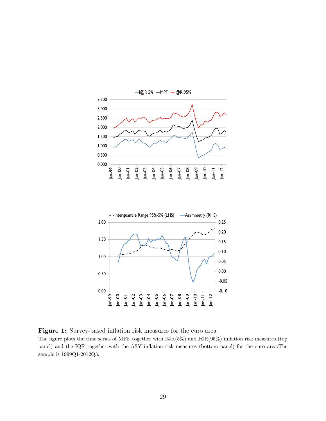<span id="page-32-0"></span>



Figure 1: Survey-based inflation risk measures for the euro area

The figure plots the time series of MPF together with I@R(5%) and I@R(95%) inflation risk measures (top panel) and the IQR together with the ASY inflation risk measures (bottom panel) for the euro area.The sample is 1999Q1-2012Q3.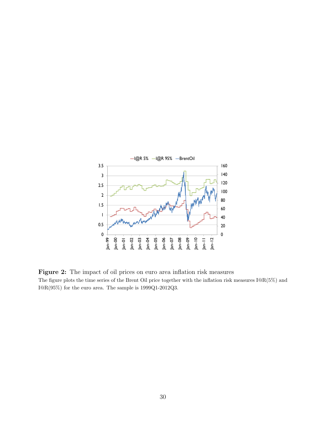<span id="page-33-0"></span>

Figure 2: The impact of oil prices on euro area inflation risk measures The figure plots the time series of the Brent Oil price together with the inflation risk measures I@R(5%) and I@R(95%) for the euro area. The sample is 1999Q1-2012Q3.